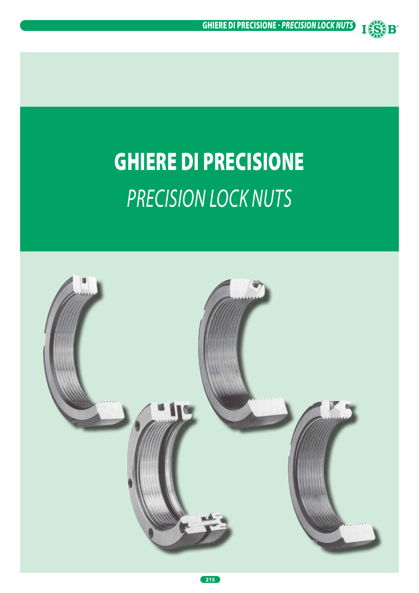

# GHIERE DI PRECISIONE *PRECISION LOCK NUTS*

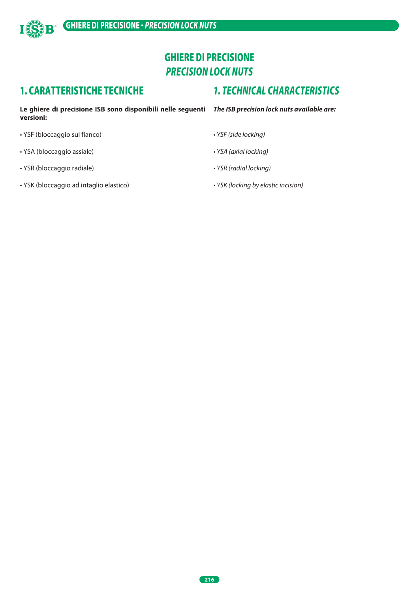

# GHIERE DI PRECISIONE *PRECISION LOCK NUTS*

## 1. CARATTERISTICHE TECNICHE

# *1. TECHNICAL CHARACTERISTICS*

**Le ghiere di precisione ISB sono disponibili nelle seguenti**  *The ISB precision lock nuts available are:* **versioni:**

- YSF (bloccaggio sul fianco)
- YSA (bloccaggio assiale)
- YSR (bloccaggio radiale)
- YSK (bloccaggio ad intaglio elastico)
- *YSF (side locking)*
- *YSA (axial locking)*
- *YSR (radial locking)*
- *YSK (locking by elastic incision)*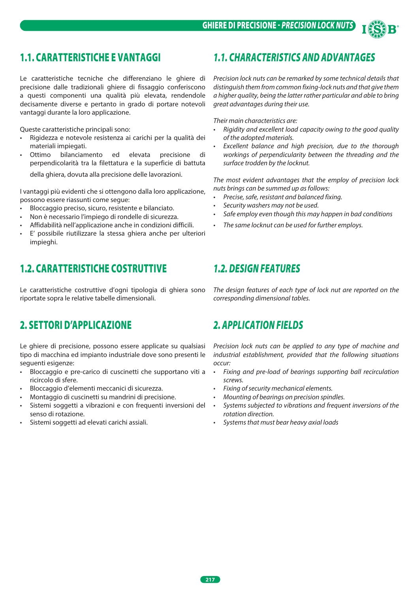

# 1.1. CARATTERISTICHE E VANTAGGI

Le caratteristiche tecniche che differenziano le ghiere di precisione dalle tradizionali ghiere di fissaggio conferiscono a questi componenti una qualità più elevata, rendendole decisamente diverse e pertanto in grado di portare notevoli vantaggi durante la loro applicazione.

Queste caratteristiche principali sono:

- Rigidezza e notevole resistenza ai carichi per la qualità dei materiali impiegati.
- Ottimo bilanciamento ed elevata precisione di perpendicolarità tra la filettatura e la superficie di battuta

della ghiera, dovuta alla precisione delle lavorazioni.

I vantaggi più evidenti che si ottengono dalla loro applicazione, possono essere riassunti come segue:

- Bloccaggio preciso, sicuro, resistente e bilanciato.
- Non è necessario l'impiego di rondelle di sicurezza.
- Affidabilità nell'applicazione anche in condizioni difficili.
- E' possibile riutilizzare la stessa ghiera anche per ulteriori impieghi.

## 1.2. CARATTERISTICHE COSTRUTTIVE

Le caratteristiche costruttive d'ogni tipologia di ghiera sono riportate sopra le relative tabelle dimensionali.

## 2. SETTORI D'APPLICAZIONE

Le ghiere di precisione, possono essere applicate su qualsiasi tipo di macchina ed impianto industriale dove sono presenti le seguenti esigenze:

- Bloccaggio e pre-carico di cuscinetti che supportano viti a ricircolo di sfere.
- Bloccaggio d'elementi meccanici di sicurezza.
- Montaggio di cuscinetti su mandrini di precisione.
- Sistemi soggetti a vibrazioni e con frequenti inversioni del senso di rotazione.
- Sistemi soggetti ad elevati carichi assiali.

## *1.1. CHARACTERISTICS AND ADVANTAGES*

*Precision lock nuts can be remarked by some technical details that distinguish them from common fixing-lock nuts and that give them a higher quality, being the latter rather particular and able to bring great advantages during their use.*

*Their main characteristics are:* 

- *• Rigidity and excellent load capacity owing to the good quality of the adopted materials.*
- *• Excellent balance and high precision, due to the thorough workings of perpendicularity between the threading and the surface trodden by the locknut.*

*The most evident advantages that the employ of precision lock nuts brings can be summed up as follows:*

- *• Precise, safe, resistant and balanced fixing.*
- *• Security washers may not be used.*
- *• Safe employ even though this may happen in bad conditions*
- *• The same locknut can be used for further employs.*

## *1.2. DESIGN FEATURES*

*The design features of each type of lock nut are reported on the corresponding dimensional tables.*

## *2. APPLICATION FIELDS*

*Precision lock nuts can be applied to any type of machine and industrial establishment, provided that the following situations occur:*

- *• Fixing and pre-load of bearings supporting ball recirculation screws.*
- *• Fixing of security mechanical elements.*
- *• Mounting of bearings on precision spindles.*
- *• Systems subjected to vibrations and frequent inversions of the rotation direction.*
- *• Systems that must bear heavy axial loads*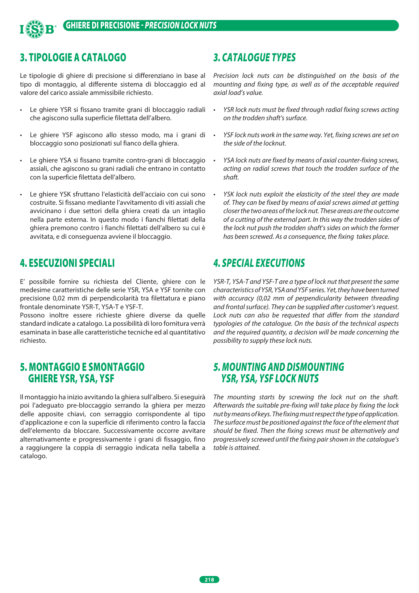

## 3. TIPOLOGIE A CATALOGO

Le tipologie di ghiere di precisione si differenziano in base al tipo di montaggio, al differente sistema di bloccaggio ed al valore del carico assiale ammissibile richiesto.

- Le ghiere YSR si fissano tramite grani di bloccaggio radiali che agiscono sulla superficie filettata dell'albero.
- Le ghiere YSF agiscono allo stesso modo, ma i grani di bloccaggio sono posizionati sul fianco della ghiera.
- Le ghiere YSA si fissano tramite contro-grani di bloccaggio assiali, che agiscono su grani radiali che entrano in contatto con la superficie filettata dell'albero.
- Le ghiere YSK sfruttano l'elasticità dell'acciaio con cui sono costruite. Si fissano mediante l'avvitamento di viti assiali che avvicinano i due settori della ghiera creati da un intaglio nella parte esterna. In questo modo i fianchi filettati della ghiera premono contro i fianchi filettati dell'albero su cui è avvitata, e di conseguenza avviene il bloccaggio.

## 4. ESECUZIONI SPECIALI

E' possibile fornire su richiesta del Cliente, ghiere con le medesime caratteristiche delle serie YSR, YSA e YSF tornite con precisione 0,02 mm di perpendicolarità tra filettatura e piano frontale denominate YSR-T, YSA-T e YSF-T.

Possono inoltre essere richieste ghiere diverse da quelle standard indicate a catalogo. La possibilità di loro fornitura verrà esaminata in base alle caratteristiche tecniche ed al quantitativo richiesto.

## 5. MONTAGGIO E SMONTAGGIO GHIERE YSR, YSA, YSF

Il montaggio ha inizio avvitando la ghiera sull'albero. Si eseguirà poi l'adeguato pre-bloccaggio serrando la ghiera per mezzo delle apposite chiavi, con serraggio corrispondente al tipo d'applicazione e con la superficie di riferimento contro la faccia dell'elemento da bloccare. Successivamente occorre avvitare alternativamente e progressivamente i grani di fissaggio, fino a raggiungere la coppia di serraggio indicata nella tabella a catalogo.

## *3. CATALOGUE TYPES*

*Precision lock nuts can be distinguished on the basis of the mounting and fixing type, as well as of the acceptable required axial load's value.*

- *• YSR lock nuts must be fixed through radial fixing screws acting on the trodden shaft's surface.*
- *• YSF lock nuts work in the same way. Yet, fixing screws are set on the side of the locknut.*
- *• YSA lock nuts are fixed by means of axial counter-fixing screws, acting on radial screws that touch the trodden surface of the shaft.*
- *• YSK lock nuts exploit the elasticity of the steel they are made of. They can be fixed by means of axial screws aimed at getting closer the two areas of the lock nut. These areas are the outcome of a cutting of the external part. In this way the trodden sides of the lock nut push the trodden shaft's sides on which the former has been screwed. As a consequence, the fixing takes place.*

## *4. SPECIAL EXECUTIONS*

*YSR-T, YSA-T and YSF-T are a type of lock nut that present the same characteristics of YSR, YSA and YSF series. Yet, they have been turned with accuracy (0,02 mm of perpendicularity between threading and frontal surface). They can be supplied after customer's request. Lock nuts can also be requested that differ from the standard typologies of the catalogue. On the basis of the technical aspects and the required quantity, a decision will be made concerning the possibility to supply these lock nuts.* 

## *5. MOUNTING AND DISMOUNTING YSR, YSA, YSF LOCK NUTS*

*The mounting starts by screwing the lock nut on the shaft. Afterwards the suitable pre-fixing will take place by fixing the lock nut by means of keys. The fixing must respect the type of application. The surface must be positioned against the face of the element that should be fixed. Then the fixing screws must be alternatively and progressively screwed until the fixing pair shown in the catalogue's table is attained.*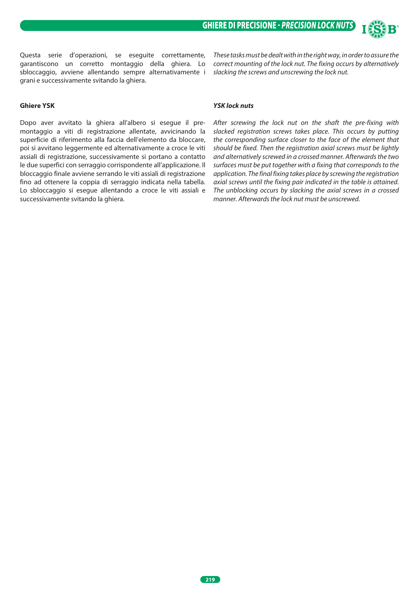Questa serie d'operazioni, se eseguite correttamente, garantiscono un corretto montaggio della ghiera. Lo sbloccaggio, avviene allentando sempre alternativamente i grani e successivamente svitando la ghiera.

#### **Ghiere YSK**

Dopo aver avvitato la ghiera all'albero si esegue il premontaggio a viti di registrazione allentate, avvicinando la superficie di riferimento alla faccia dell'elemento da bloccare, poi si avvitano leggermente ed alternativamente a croce le viti assiali di registrazione, successivamente si portano a contatto le due superfici con serraggio corrispondente all'applicazione. Il bloccaggio finale avviene serrando le viti assiali di registrazione fino ad ottenere la coppia di serraggio indicata nella tabella. Lo sbloccaggio si esegue allentando a croce le viti assiali e successivamente svitando la ghiera.

#### *YSK lock nuts*

*After screwing the lock nut on the shaft the pre-fixing with slacked registration screws takes place. This occurs by putting the corresponding surface closer to the face of the element that should be fixed. Then the registration axial screws must be lightly and alternatively screwed in a crossed manner. Afterwards the two surfaces must be put together with a fixing that corresponds to the application. The final fixing takes place by screwing the registration axial screws until the fixing pair indicated in the table is attained. The unblocking occurs by slacking the axial screws in a crossed manner. Afterwards the lock nut must be unscrewed.*

*These tasks must be dealt with in the right way, in order to assure the correct mounting of the lock nut. The fixing occurs by alternatively* 

*slacking the screws and unscrewing the lock nut.*

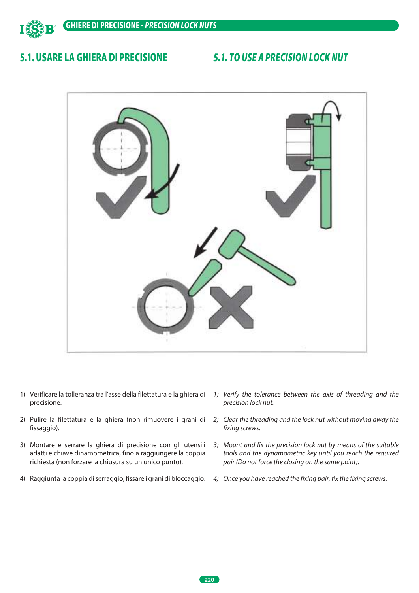

## 5.1. USARE LA GHIERA DI PRECISIONE

## *5.1. TO USE A PRECISION LOCK NUT*



- 1) Verificare la tolleranza tra l'asse della filettatura e la ghiera di precisione.
- 2) Pulire la filettatura e la ghiera (non rimuovere i grani di fissaggio).
- 3) Montare e serrare la ghiera di precisione con gli utensili adatti e chiave dinamometrica, fino a raggiungere la coppia richiesta (non forzare la chiusura su un unico punto).
- 4) Raggiunta la coppia di serraggio, fissare i grani di bloccaggio. *4) Once you have reached the fixing pair, fix the fixing screws.*
- *1) Verify the tolerance between the axis of threading and the precision lock nut.*
- *2) Clear the threading and the lock nut without moving away the fixing screws.*
- *3) Mount and fix the precision lock nut by means of the suitable tools and the dynamometric key until you reach the required pair (Do not force the closing on the same point).*
-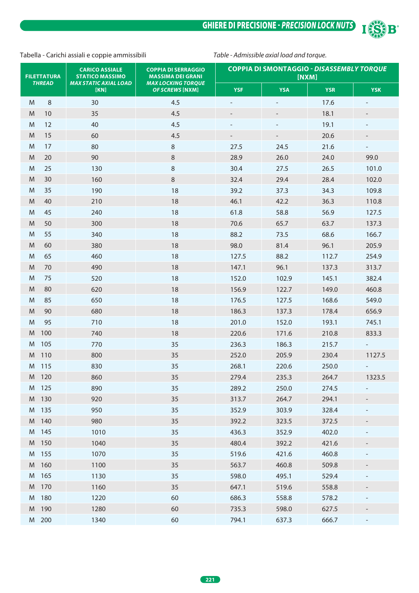GHIERE DI PRECISIONE - *PRECISION LOCK NUTS*



#### Tabella - Carichi assiali e coppie ammissibili *Table - Admissible axial load and torque.*

| <b>FILETTATURA</b> | <b>CARICO ASSIALE</b><br><b>STATICO MASSIMO</b> | <b>COPPIA DI SERRAGGIO</b><br><b>MASSIMA DEI GRANI</b> | <b>COPPIA DI SMONTAGGIO - DISASSEMBLY TORQUE</b><br>[NXM] |            |            |            |  |
|--------------------|-------------------------------------------------|--------------------------------------------------------|-----------------------------------------------------------|------------|------------|------------|--|
| <b>THREAD</b>      | <b>MAX STATIC AXIAL LOAD</b><br>[KN]            | <b>MAX LOCKING TORQUE</b><br><b>OF SCREWS [NXM]</b>    | <b>YSF</b>                                                | <b>YSA</b> | <b>YSR</b> | <b>YSK</b> |  |
| 8<br>M             | 30                                              | 4.5                                                    |                                                           |            | 17.6       |            |  |
| M<br>10            | 35                                              | 4.5                                                    |                                                           |            | 18.1       |            |  |
| 12<br>M            | 40                                              | 4.5                                                    |                                                           |            | 19.1       |            |  |
| 15<br>M            | 60                                              | 4.5                                                    |                                                           |            | 20.6       |            |  |
| 17<br>M            | 80                                              | $\, 8$                                                 | 27.5                                                      | 24.5       | 21.6       |            |  |
| 20<br>M            | 90                                              | $\, 8$                                                 | 28.9                                                      | 26.0       | 24.0       | 99.0       |  |
| 25<br>M            | 130                                             | $\, 8$                                                 | 30.4                                                      | 27.5       | 26.5       | 101.0      |  |
| 30<br>M            | 160                                             | $\,8\,$                                                | 32.4                                                      | 29.4       | 28.4       | 102.0      |  |
| 35<br>M            | 190                                             | 18                                                     | 39.2                                                      | 37.3       | 34.3       | 109.8      |  |
| M<br>40            | 210                                             | 18                                                     | 46.1                                                      | 42.2       | 36.3       | 110.8      |  |
| 45<br>M            | 240                                             | 18                                                     | 61.8                                                      | 58.8       | 56.9       | 127.5      |  |
| 50<br>M            | 300                                             | 18                                                     | 70.6                                                      | 65.7       | 63.7       | 137.3      |  |
| 55<br>M            | 340                                             | 18                                                     | 88.2                                                      | 73.5       | 68.6       | 166.7      |  |
| M<br>60            | 380                                             | 18                                                     | 98.0                                                      | 81.4       | 96.1       | 205.9      |  |
| M<br>65            | 460                                             | 18                                                     | 127.5                                                     | 88.2       | 112.7      | 254.9      |  |
| 70<br>M            | 490                                             | 18                                                     | 147.1                                                     | 96.1       | 137.3      | 313.7      |  |
| 75<br>M            | 520                                             | 18                                                     | 152.0                                                     | 102.9      | 145.1      | 382.4      |  |
| 80<br>M            | 620                                             | 18                                                     | 156.9                                                     | 122.7      | 149.0      | 460.8      |  |
| 85<br>M            | 650                                             | 18                                                     | 176.5                                                     | 127.5      | 168.6      | 549.0      |  |
| M<br>90            | 680                                             | 18                                                     | 186.3                                                     | 137.3      | 178.4      | 656.9      |  |
| M<br>95            | 710                                             | 18                                                     | 201.0                                                     | 152.0      | 193.1      | 745.1      |  |
| 100<br>M           | 740                                             | 18                                                     | 220.6                                                     | 171.6      | 210.8      | 833.3      |  |
| 105<br>M           | 770                                             | 35                                                     | 236.3                                                     | 186.3      | 215.7      |            |  |
| 110<br>M           | 800                                             | 35                                                     | 252.0                                                     | 205.9      | 230.4      | 1127.5     |  |
| M<br>115           | 830                                             | 35                                                     | 268.1                                                     | 220.6      | 250.0      |            |  |
| 120<br>M           | 860                                             | 35                                                     | 279.4                                                     | 235.3      | 264.7      | 1323.5     |  |
| M 125              | 890                                             | 35                                                     | 289.2                                                     | 250.0      | 274.5      |            |  |
| M 130              | 920                                             | 35                                                     | 313.7                                                     | 264.7      | 294.1      |            |  |
| M 135              | 950                                             | 35                                                     | 352.9                                                     | 303.9      | 328.4      |            |  |
| M 140              | 980                                             | 35                                                     | 392.2                                                     | 323.5      | 372.5      |            |  |
| M 145              | 1010                                            | 35                                                     | 436.3                                                     | 352.9      | 402.0      |            |  |
| M 150              | 1040                                            | 35                                                     | 480.4                                                     | 392.2      | 421.6      |            |  |
| M 155              | 1070                                            | 35                                                     | 519.6                                                     | 421.6      | 460.8      |            |  |
| M 160              | 1100                                            | 35                                                     | 563.7                                                     | 460.8      | 509.8      |            |  |
| M 165              | 1130                                            | 35                                                     | 598.0                                                     | 495.1      | 529.4      |            |  |
| M 170              | 1160                                            | 35                                                     | 647.1                                                     | 519.6      | 558.8      |            |  |
| M 180              | 1220                                            | 60                                                     | 686.3                                                     | 558.8      | 578.2      |            |  |
| M 190              | 1280                                            | 60                                                     | 735.3                                                     | 598.0      | 627.5      |            |  |
| M 200              | 1340                                            | 60                                                     | 794.1                                                     | 637.3      | 666.7      |            |  |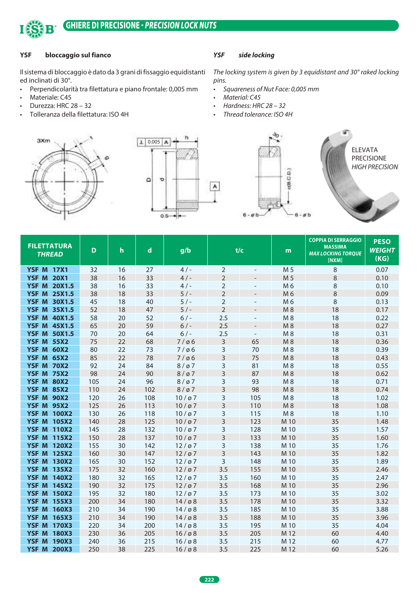

### GHIERE DI PRECISIONE - *PRECISION LOCK NUTS*

#### **YSF bloccaggio sul fianco**

Il sistema di bloccaggio è dato da 3 grani di fissaggio equidistanti ed inclinati di 30°.

- Perpendicolarità tra filettatura e piano frontale: 0,005 mm
- Materiale: C45
- Durezza: HRC 28 32
- Tolleranza della filettatura: ISO 4H





#### *YSF side locking*

*The locking system is given by 3 equidistant and 30° raked locking pins.*

- *• Squareness of Nut Face: 0,005 mm*
- *• Material: C45*
- *• Hardness: HRC 28 32*
- *• Thread tolerance: ISO 4H*



| 8<br><b>YSF M 17X1</b><br>32<br>16<br>27<br>4/<br>$\overline{2}$<br>M <sub>5</sub>                                                                    | 0.07<br>0.10<br>0.10<br>0.09 |
|-------------------------------------------------------------------------------------------------------------------------------------------------------|------------------------------|
|                                                                                                                                                       |                              |
| 38<br>$\overline{2}$<br>8<br><b>YSF M 20X1</b><br>16<br>33<br>4/<br>M <sub>5</sub>                                                                    |                              |
| $\,8\,$<br><b>YSF M 20X1.5</b><br>38<br>16<br>33<br>4/<br>$\overline{2}$<br>M 6                                                                       |                              |
| $\overline{2}$<br>$\,8\,$<br><b>YSF M 25X1.5</b><br>38<br>18<br>33<br>5/<br>M6                                                                        |                              |
| $\overline{2}$<br>$\,8\,$<br><b>YSF M 30X1.5</b><br>45<br>18<br>40<br>$5/$ -<br>M 6                                                                   | 0.13                         |
| $\overline{2}$<br><b>YSF M 35X1.5</b><br>52<br>18<br>5/<br>$M_8$<br>18<br>47                                                                          | 0.17                         |
| 52<br>2.5<br><b>YSF M 40X1.5</b><br>58<br>20<br>$6/$ -<br>$M_8$<br>18                                                                                 | 0.22                         |
| 59<br>2.5<br><b>YSF M 45X1.5</b><br>65<br>20<br>$6/-$<br>M8<br>18                                                                                     | 0.27                         |
| 2.5<br><b>YSF M 50X1.5</b><br>70<br>20<br>64<br>$6/-$<br>M8<br>18<br>$\overline{\phantom{a}}$                                                         | 0.31                         |
| <b>YSF M 55X2</b><br>75<br>22<br>3<br>65<br>M8<br>18<br>68<br>7/06                                                                                    | 0.36                         |
| 3<br>70<br><b>YSF M 60X2</b><br>80<br>22<br>73<br>M8<br>18<br>7/06                                                                                    | 0.39                         |
| 3<br>85<br>22<br>78<br>75<br><b>YSF M 65X2</b><br>7/06<br>M8<br>18                                                                                    | 0.43                         |
| 3<br><b>YSF M 70X2</b><br>92<br>24<br>84<br>81<br>$M_8$<br>18<br>8/07                                                                                 | 0.55                         |
| 3<br><b>YSF M 75X2</b><br>98<br>24<br>90<br>87<br>M8<br>18<br>8/07                                                                                    | 0.62                         |
| 3<br>$M_8$<br>18<br><b>YSF M 80X2</b><br>105<br>24<br>96<br>93<br>$8/\varnothing$ 7                                                                   | 0.71                         |
| 3<br>98<br>M8<br><b>YSF M 85X2</b><br>110<br>24<br>102<br>$8/\varnothing$ 7<br>18                                                                     | 0.74                         |
| <b>YSF M 90X2</b><br>3<br>105<br>120<br>26<br>108<br>10/97<br>M8<br>18                                                                                | 1.02                         |
| 3<br><b>YSF M 95X2</b><br>125<br>26<br>113<br>110<br>M8<br>18<br>10/97                                                                                | 1.08                         |
| 3<br><b>YSF M 100X2</b><br>130<br>118<br>115<br>M8<br>18<br>26<br>10/07                                                                               | 1.10                         |
| 3<br>140<br>28<br>125<br>123<br>35<br><b>YSF M 105X2</b><br>10/97<br>M 10                                                                             | 1.48                         |
| <b>YSF M 110X2</b><br>145<br>28<br>132<br>3<br>128<br>M 10<br>35<br>10/97                                                                             | 1.57                         |
| 3<br>137<br>133<br>35<br><b>YSF M 115X2</b><br>150<br>28<br>10/97<br>M 10                                                                             | 1.60                         |
| <b>YSF M 120X2</b><br>155<br>30<br>142<br>3<br>138<br>M 10<br>35<br>12/07                                                                             | 1.76                         |
| 3<br><b>YSF M 125X2</b><br>160<br>147<br>12/07<br>143<br>M 10<br>35<br>30                                                                             | 1.82                         |
| 3<br><b>YSF M 130X2</b><br>165<br>30<br>152<br>12/07<br>148<br>M 10<br>35                                                                             | 1.89                         |
| 175<br>32<br>160<br>3.5<br>155<br>35<br><b>YSF M 135X2</b><br>12/07<br>M 10                                                                           | 2.46                         |
| <b>YSF M 140X2</b><br>180<br>32<br>165<br>12/07<br>3.5<br>160<br>M 10<br>35                                                                           | 2.47                         |
| 190<br>32<br>175<br>3.5<br>168<br>35<br><b>YSF M 145X2</b><br>12/07<br>M 10                                                                           | 2.96                         |
| 32<br><b>YSF M 150X2</b><br>195<br>180<br>3.5<br>173<br>M 10<br>35<br>12/07                                                                           | 3.02                         |
| <b>YSF M 155X3</b><br>200<br>34<br>180<br>3.5<br>178<br>35<br>$14/\varnothing8$<br>M 10                                                               | 3.32                         |
| <b>YSF M 160X3</b><br>34<br>190<br>3.5<br>185<br>35<br>210<br>$14/\varnothing8$<br>M 10                                                               | 3.88                         |
| <b>YSF M 165X3</b><br>210<br>34<br>190<br>14/08<br>3.5<br>188<br>M 10<br>35                                                                           | 3.96                         |
| <b>YSF M 170X3</b><br>220<br>200<br>3.5<br>195<br>M 10<br>35<br>34<br>$14/\varnothing8$                                                               | 4.04                         |
| <b>YSF M 180X3</b><br>230<br>205<br>3.5<br>205<br>M 12<br>36<br>$16/\varnothing8$<br>60<br><b>YSF M 190X3</b><br>240<br>36<br>215<br>3.5<br>215<br>60 | 4.40                         |
| $16/\varnothing8$<br>M 12<br><b>YSF M 200X3</b><br>250<br>38<br>225<br>3.5<br>225<br>M 12<br>$16/\varnothing8$<br>60                                  | 4.77<br>5.26                 |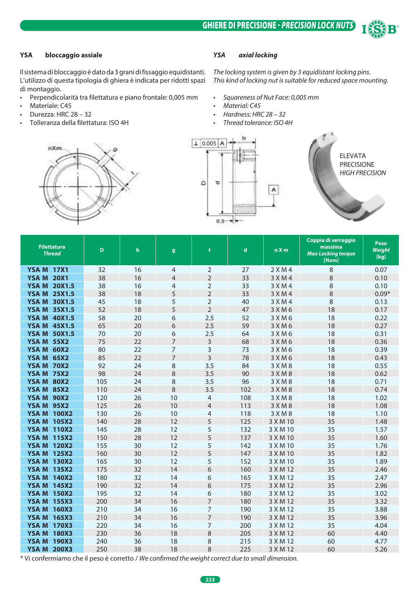

#### **YSA bloccaggio assiale**

Il sistema di bloccaggio è dato da 3 grani di fissaggio equidistanti. L'utilizzo di questa tipologia di ghiera è indicata per ridotti spazi di montaggio.

- Perpendicolarità tra filettatura e piano frontale: 0,005 mm
- Materiale: C45
- Durezza: HRC 28 32
- Tolleranza della filettatura: ISO 4H

#### *YSA axial locking*

*The locking system is given by 3 equidistant locking pins. This kind of locking nut is suitable for reduced space mounting.*

- *• Squareness of Nut Face: 0,005 mm*
- *• Material: C45*
- *• Hardness: HRC 28 32*
- *• Thread tolerance: ISO 4H*





ELEVATA PRECISIONE *HIGH PRECISION*

| <b>Filettatura</b><br><b>Thread</b> | D   | h  | g              | t              | $\mathbf d$ | n X m       | Coppia di serraggio<br>massima<br><b>Max Locking torque</b><br>[Nxm] | Peso<br><b>Weight</b><br>(kg) |
|-------------------------------------|-----|----|----------------|----------------|-------------|-------------|----------------------------------------------------------------------|-------------------------------|
| <b>YSA M 17X1</b>                   | 32  | 16 | 4              | $\overline{2}$ | 27          | $2$ X M 4   | 8                                                                    | 0.07                          |
| <b>YSA M 20X1</b>                   | 38  | 16 | $\overline{4}$ | $\overline{2}$ | 33          | 3 X M 4     | 8                                                                    | 0.10                          |
| <b>YSA M 20X1.5</b>                 | 38  | 16 | 4              | $\overline{2}$ | 33          | 3 X M 4     | 8                                                                    | 0.10                          |
| <b>YSA M 25X1.5</b>                 | 38  | 18 | 5              | $\overline{2}$ | 33          | 3 X M 4     | 8                                                                    | $0.09*$                       |
| <b>YSA M 30X1.5</b>                 | 45  | 18 | 5              | $\overline{2}$ | 40          | 3 X M 4     | 8                                                                    | 0.13                          |
| <b>YSA M 35X1.5</b>                 | 52  | 18 | 5              | $\overline{2}$ | 47          | $3$ X M 6   | 18                                                                   | 0.17                          |
| <b>YSA M 40X1.5</b>                 | 58  | 20 | 6              | 2.5            | 52          | 3 X M 6     | 18                                                                   | 0.22                          |
| <b>YSA M 45X1.5</b>                 | 65  | 20 | 6              | 2.5            | 59          | 3 X M 6     | 18                                                                   | 0.27                          |
| <b>YSA M 50X1.5</b>                 | 70  | 20 | 6              | 2.5            | 64          | $3$ X M 6   | 18                                                                   | 0.31                          |
| <b>YSA M 55X2</b>                   | 75  | 22 | 7              | 3              | 68          | 3 X M 6     | 18                                                                   | 0.36                          |
| <b>YSA M 60X2</b>                   | 80  | 22 | 7              | 3              | 73          | 3 X M 6     | 18                                                                   | 0.39                          |
| <b>YSA M 65X2</b>                   | 85  | 22 | 7              | $\overline{3}$ | 78          | 3 X M 6     | 18                                                                   | 0.43                          |
| <b>YSA M 70X2</b>                   | 92  | 24 | 8              | 3.5            | 84          | 3 X M 8     | 18                                                                   | 0.55                          |
| <b>YSA M 75X2</b>                   | 98  | 24 | 8              | 3.5            | 90          | 3 X M 8     | 18                                                                   | 0.62                          |
| <b>YSA M 80X2</b>                   | 105 | 24 | 8              | 3.5            | 96          | 3 X M 8     | 18                                                                   | 0.71                          |
| <b>YSA M 85X2</b>                   | 110 | 24 | 8              | 3.5            | 102         | $3$ X M $8$ | 18                                                                   | 0.74                          |
| <b>YSA M 90X2</b>                   | 120 | 26 | 10             | 4              | 108         | 3 X M 8     | 18                                                                   | 1.02                          |
| <b>YSA M 95X2</b>                   | 125 | 26 | 10             | 4              | 113         | 3 X M 8     | 18                                                                   | 1.08                          |
| <b>YSA M 100X2</b>                  | 130 | 26 | 10             | 4              | 118         | $3$ X M $8$ | 18                                                                   | 1.10                          |
| <b>YSA M 105X2</b>                  | 140 | 28 | 12             | 5              | 125         | 3 X M 10    | 35                                                                   | 1.48                          |
| <b>YSA M 110X2</b>                  | 145 | 28 | 12             | 5              | 132         | 3 X M 10    | 35                                                                   | 1.57                          |
| <b>YSA M 115X2</b>                  | 150 | 28 | 12             | 5              | 137         | 3 X M 10    | 35                                                                   | 1.60                          |
| <b>YSA M 120X2</b>                  | 155 | 30 | 12             | 5              | 142         | 3 X M 10    | 35                                                                   | 1.76                          |
| <b>YSA M 125X2</b>                  | 160 | 30 | 12             | 5              | 147         | 3 X M 10    | 35                                                                   | 1.82                          |
| <b>YSA M 130X2</b>                  | 165 | 30 | 12             | 5              | 152         | 3 X M 10    | 35                                                                   | 1.89                          |
| <b>YSA M 135X2</b>                  | 175 | 32 | 14             | 6              | 160         | 3 X M 12    | 35                                                                   | 2.46                          |
| <b>YSA M 140X2</b>                  | 180 | 32 | 14             | 6              | 165         | 3 X M 12    | 35                                                                   | 2.47                          |
| <b>YSA M 145X2</b>                  | 190 | 32 | 14             | 6              | 175         | 3 X M 12    | 35                                                                   | 2.96                          |
| <b>YSA M 150X2</b>                  | 195 | 32 | 14             | 6              | 180         | 3 X M 12    | 35                                                                   | 3.02                          |
| <b>YSA M 155X3</b>                  | 200 | 34 | 16             | $\overline{7}$ | 180         | 3 X M 12    | 35                                                                   | 3.32                          |
| <b>YSA M 160X3</b>                  | 210 | 34 | 16             | 7              | 190         | 3 X M 12    | 35                                                                   | 3.88                          |
| <b>YSA M 165X3</b>                  | 210 | 34 | 16             | $\overline{7}$ | 190         | 3 X M 12    | 35                                                                   | 3.96                          |
| <b>YSA M 170X3</b>                  | 220 | 34 | 16             | 7              | 200         | 3 X M 12    | 35                                                                   | 4.04                          |
| <b>YSA M 180X3</b>                  | 230 | 36 | 18             | 8              | 205         | 3 X M 12    | 60                                                                   | 4.40                          |
| <b>YSA M 190X3</b>                  | 240 | 36 | 18             | 8              | 215         | 3 X M 12    | 60                                                                   | 4.77                          |
| <b>YSAM</b><br><b>200X3</b>         | 250 | 38 | 18             | 8              | 225         | 3 X M 12    | 60                                                                   | 5.26                          |

\* Vi confermiamo che il peso è corretto / *We confirmed the weight correct due to small dimension.*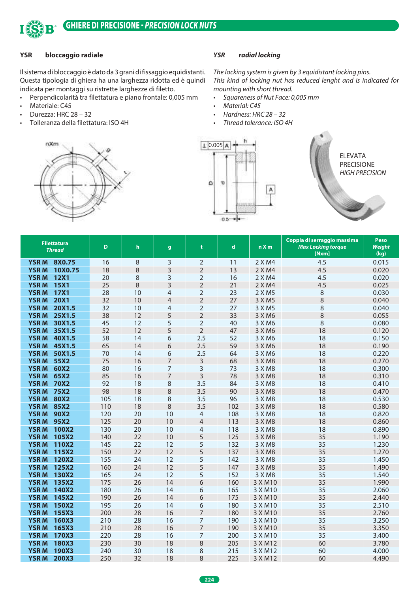

#### **YSR bloccaggio radiale**

Il sistema di bloccaggio è dato da 3 grani di fissaggio equidistanti. Questa tipologia di ghiera ha una larghezza ridotta ed è quindi indicata per montaggi su ristrette larghezze di filetto.

- Perpendicolarità tra filettatura e piano frontale: 0,005 mm
- Materiale: C45
- Durezza: HRC 28 32
- Tolleranza della filettatura: ISO 4H

#### *YSR radial locking*

*The locking system is given by 3 equidistant locking pins. This kind of locking nut has reduced lenght and is indicated for mounting with short thread.*

- *• Squareness of Nut Face: 0,005 mm*
- *• Material: C45*
- *• Hardness: HRC 28 32*
- *• Thread tolerance: ISO 4H*





ELEVATA PRECISIONE *HIGH PRECISION*

| <b>Filettatura</b><br><b>Thread</b>                 | D          | h        | $\mathbf{g}$   | t              | $\mathbf d$ | nXm                | Coppia di serraggio massima<br><b>Max Locking torque</b><br>[Nxm] | <b>Peso</b><br><b>Weight</b><br>(kg) |
|-----------------------------------------------------|------------|----------|----------------|----------------|-------------|--------------------|-------------------------------------------------------------------|--------------------------------------|
| <b>YSRM</b><br>8X0.75                               | 16         | 8        | 3              | $\overline{2}$ | 11          | 2 X M4             | 4.5                                                               | 0.015                                |
| 10X0.75<br><b>YSRM</b>                              | 18         | 8        | $\overline{3}$ | $\overline{2}$ | 13          | 2 X M4             | 4.5                                                               | 0.020                                |
| <b>YSRM</b><br><b>12X1</b>                          | 20         | 8        | 3              | $\overline{2}$ | 16          | 2 X M4             | 4.5                                                               | 0.020                                |
| <b>YSRM</b><br><b>15X1</b>                          | 25         | 8        | 3              | $\overline{2}$ | 21          | 2 X M4             | 4.5                                                               | 0.025                                |
| <b>YSRM</b><br><b>17X1</b>                          | 28         | 10       | 4              | $\overline{2}$ | 23          | 2 X M5             | 8                                                                 | 0.030                                |
| <b>YSRM</b><br><b>20X1</b>                          | 32         | 10       | $\overline{4}$ | $\overline{2}$ | 27          | 3 X M 5            | 8                                                                 | 0.040                                |
| <b>YSRM</b><br>20X1.5                               | 32         | 10       | 4              | $\overline{2}$ | 27          | 3 X M 5            | 8                                                                 | 0.040                                |
| <b>YSRM</b><br>25X1.5                               | 38         | 12       | 5              | $\overline{2}$ | 33          | 3 X M6             | 8                                                                 | 0.055                                |
| <b>YSRM</b><br>30X1.5                               | 45         | 12       | 5              | $\overline{2}$ | 40          | 3 X M6             | 8                                                                 | 0.080                                |
| <b>YSRM</b><br>35X1.5                               | 52         | 12       | 5              | $\overline{2}$ | 47          | 3 X M6             | 18                                                                | 0.120                                |
| <b>YSRM</b><br>40X1.5                               | 58         | 14       | 6              | 2.5            | 52          | 3 X M6             | 18                                                                | 0.150                                |
| <b>YSRM</b><br>45X1.5                               | 65         | 14       | 6              | 2.5            | 59          | 3 X M6             | 18                                                                | 0.190                                |
| <b>YSRM</b><br>50X1.5                               | 70         | 14       | 6              | 2.5            | 64          | 3 X M6             | 18                                                                | 0.220                                |
| <b>YSRM</b><br>55X2                                 | 75         | 16       | 7              | 3              | 68          | 3 X M8             | 18                                                                | 0.270                                |
| <b>YSRM</b><br>60X2                                 | 80         | 16       | 7              | 3              | 73          | 3 X M8             | 18                                                                | 0.300                                |
| 65X2<br><b>YSRM</b>                                 | 85         | 16       | $\overline{7}$ | $\overline{3}$ | 78          | 3 X M8             | 18                                                                | 0.310                                |
| <b>YSRM</b><br><b>70X2</b>                          | 92         | 18       | 8              | 3.5            | 84          | 3 X M8             | 18                                                                | 0.410                                |
| <b>YSRM</b><br><b>75X2</b>                          | 98         | 18       | 8              | 3.5            | 90          | 3 X M8             | 18                                                                | 0.470                                |
| <b>YSRM</b><br><b>80X2</b>                          | 105        | 18       | 8              | 3.5            | 96          | 3 X M8             | 18                                                                | 0.530                                |
| <b>YSRM</b><br><b>85X2</b>                          | 110        | 18       | 8              | 3.5            | 102         | 3 X M8             | 18                                                                | 0.580                                |
| <b>YSRM</b><br>90X2                                 | 120        | 20       | 10             | $\overline{4}$ | 108         | 3 X M8             | 18                                                                | 0.820                                |
| <b>95X2</b><br><b>YSRM</b>                          | 125        | 20       | 10             | $\overline{4}$ | 113         | 3 X M8             | 18                                                                | 0.860                                |
| <b>YSRM</b><br>100X2                                | 130        | 20       | 10             | $\overline{4}$ | 118         | 3 X M8             | 18                                                                | 0.890                                |
| <b>YSRM</b><br>105X2                                | 140        | 22       | 10             | 5              | 125         | 3 X M8             | 35                                                                | 1.190                                |
| <b>YSRM</b><br>110X2                                | 145        | 22       | 12             | 5              | 132         | 3 X M8             | 35                                                                | 1.230                                |
| <b>YSRM</b><br>115X2                                | 150        | 22       | 12             | 5              | 137         | 3 X M8             | 35                                                                | 1.270                                |
| 120X2<br><b>YSRM</b>                                | 155        | 24       | 12             | 5              | 142         | 3 X M8             | 35                                                                | 1.450                                |
| <b>YSRM</b><br><b>125X2</b>                         | 160        | 24       | 12             | 5              | 147         | 3 X M8             | 35                                                                | 1.490                                |
| 130X2<br><b>YSRM</b>                                | 165        | 24       | 12             | 5              | 152         | 3 X M8             | 35                                                                | 1.540                                |
| <b>YSRM</b><br>135X2                                | 175        | 26       | 14             | 6              | 160         | 3 X M10            | 35                                                                | 1.990                                |
| <b>YSRM</b><br>140X2                                | 180        | 26       | 14             | 6              | 165         | 3 X M10            | 35                                                                | 2.060                                |
| <b>YSRM</b><br>145X2                                | 190        | 26       | 14             | 6              | 175         | 3 X M10            | 35                                                                | 2.440                                |
| <b>YSRM</b><br>150X2                                | 195        | 26       | 14             | 6              | 180         | 3 X M10            | 35                                                                | 2.510                                |
| <b>YSRM</b><br>155X3                                | 200        | 28       | 16             | $\overline{7}$ | 180         | 3 X M10            | 35                                                                | 2.760                                |
| <b>YSRM</b><br><b>160X3</b>                         | 210        | 28       | 16             | $\overline{7}$ | 190         | 3 X M10            | 35                                                                | 3.250                                |
| <b>YSRM</b><br>165X3                                | 210        | 28       | 16             | 7              | 190         | 3 X M10            | 35                                                                | 3.350                                |
| <b>YSRM</b><br>170X3<br><b>YSRM</b><br><b>180X3</b> | 220<br>230 | 28<br>30 | 16<br>18       | 7<br>8         | 200<br>205  | 3 X M10<br>3 X M12 | 35<br>60                                                          | 3.400<br>3.780                       |
| <b>YSRM</b><br>190X3                                | 240        | 30       | 18             |                | 215         | 3 X M12            | 60                                                                | 4.000                                |
| <b>YSRM</b><br><b>200X3</b>                         | 250        | 32       | 18             | 8<br>8         | 225         | 3 X M12            | 60                                                                | 4.490                                |
|                                                     |            |          |                |                |             |                    |                                                                   |                                      |